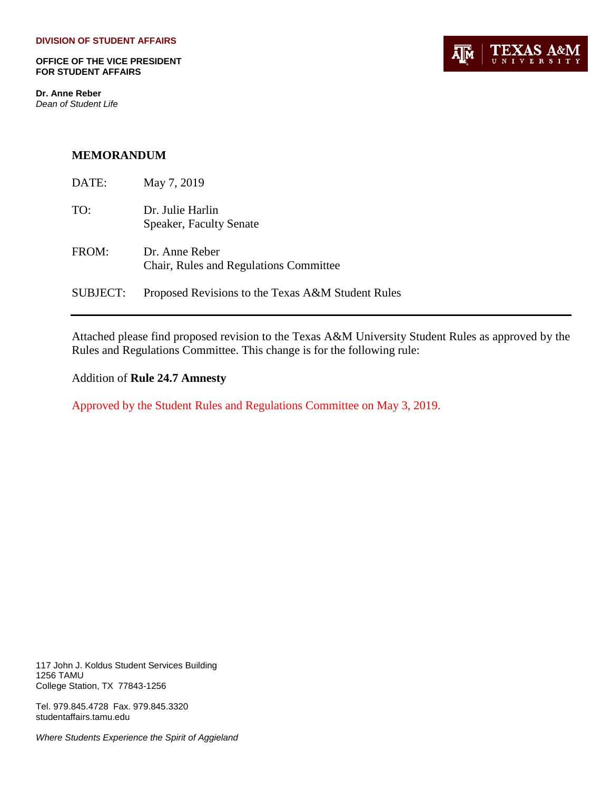**OFFICE OF THE VICE PRESIDENT FOR STUDENT AFFAIRS**

**Dr. Anne Reber** *Dean of Student Life*



## **MEMORANDUM**

| DATE:    | May 7, 2019                                              |
|----------|----------------------------------------------------------|
| TO:      | Dr. Julie Harlin<br><b>Speaker, Faculty Senate</b>       |
| FROM:    | Dr. Anne Reber<br>Chair, Rules and Regulations Committee |
| SUBJECT: | Proposed Revisions to the Texas A&M Student Rules        |

Attached please find proposed revision to the Texas A&M University Student Rules as approved by the Rules and Regulations Committee. This change is for the following rule:

Addition of **Rule 24.7 Amnesty**

Approved by the Student Rules and Regulations Committee on May 3, 2019.

117 John J. Koldus Student Services Building 1256 TAMU College Station, TX 77843-1256

Tel. 979.845.4728 Fax. 979.845.3320 studentaffairs.tamu.edu

*Where Students Experience the Spirit of Aggieland*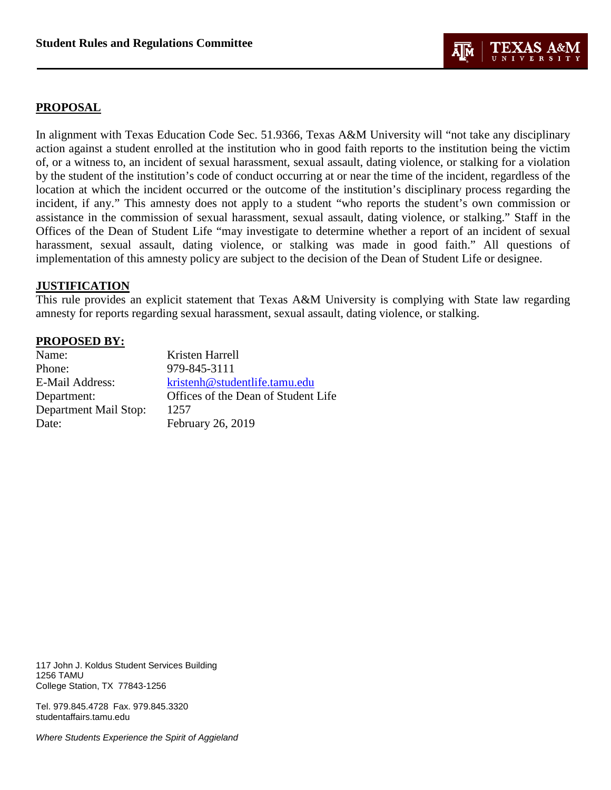

## **PROPOSAL**

In alignment with Texas Education Code Sec. 51.9366, Texas A&M University will "not take any disciplinary action against a student enrolled at the institution who in good faith reports to the institution being the victim of, or a witness to, an incident of sexual harassment, sexual assault, dating violence, or stalking for a violation by the student of the institution's code of conduct occurring at or near the time of the incident, regardless of the location at which the incident occurred or the outcome of the institution's disciplinary process regarding the incident, if any." This amnesty does not apply to a student "who reports the student's own commission or assistance in the commission of sexual harassment, sexual assault, dating violence, or stalking." Staff in the Offices of the Dean of Student Life "may investigate to determine whether a report of an incident of sexual harassment, sexual assault, dating violence, or stalking was made in good faith." All questions of implementation of this amnesty policy are subject to the decision of the Dean of Student Life or designee.

## **JUSTIFICATION**

This rule provides an explicit statement that Texas A&M University is complying with State law regarding amnesty for reports regarding sexual harassment, sexual assault, dating violence, or stalking.

## **PROPOSED BY:**

| Kristen Harrell                     |
|-------------------------------------|
| 979-845-3111                        |
| kristenh@studentlife.tamu.edu       |
| Offices of the Dean of Student Life |
| 1257                                |
| February 26, 2019                   |
|                                     |

117 John J. Koldus Student Services Building 1256 TAMU College Station, TX 77843-1256

Tel. 979.845.4728 Fax. 979.845.3320 studentaffairs.tamu.edu

*Where Students Experience the Spirit of Aggieland*